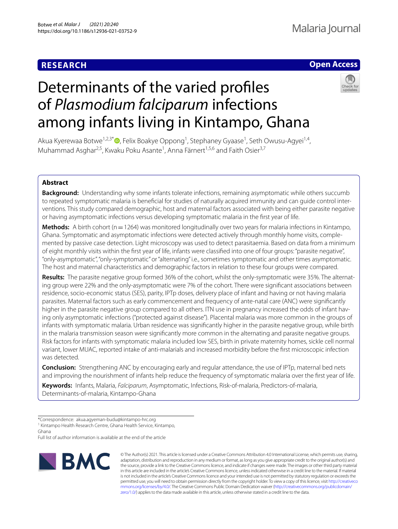# **RESEARCH**

## **Open Access**



# Determinants of the varied profles of *Plasmodium falciparum* infections among infants living in Kintampo, Ghana

Akua Kyerewaa Botwe<sup>1[,](http://orcid.org/0000-0003-2304-392X)2,3\*</sup><sup>®</sup>, Felix Boakye Oppong<sup>1</sup>, Stephaney Gyaase<sup>1</sup>, Seth Owusu-Agyei<sup>1,4</sup>, Muhammad Asghar<sup>2,5</sup>, Kwaku Poku Asante<sup>1</sup>, Anna Färnert<sup>1,5,6</sup> and Faith Osier<sup>3,7</sup>

## **Abstract**

**Background:** Understanding why some infants tolerate infections, remaining asymptomatic while others succumb to repeated symptomatic malaria is beneficial for studies of naturally acquired immunity and can guide control interventions. This study compared demographic, host and maternal factors associated with being either parasite negative or having asymptomatic infections versus developing symptomatic malaria in the frst year of life.

**Methods:** A birth cohort (n=1264) was monitored longitudinally over two years for malaria infections in Kintampo, Ghana. Symptomatic and asymptomatic infections were detected actively through monthly home visits, complemented by passive case detection. Light microscopy was used to detect parasitaemia. Based on data from a minimum of eight monthly visits within the frst year of life, infants were classifed into one of four groups: "parasite negative", "only-asymptomatic", "only-symptomatic" or "alternating" i.e., sometimes symptomatic and other times asymptomatic. The host and maternal characteristics and demographic factors in relation to these four groups were compared.

**Results:** The parasite negative group formed 36% of the cohort, whilst the only-symptomatic were 35%. The alternat‑ ing group were 22% and the only-asymptomatic were 7% of the cohort. There were signifcant associations between residence, socio-economic status (SES), parity, IPTp doses, delivery place of infant and having or not having malaria parasites. Maternal factors such as early commencement and frequency of ante-natal care (ANC) were signifcantly higher in the parasite negative group compared to all others. ITN use in pregnancy increased the odds of infant having only asymptomatic infections ("protected against disease"). Placental malaria was more common in the groups of infants with symptomatic malaria. Urban residence was signifcantly higher in the parasite negative group, while birth in the malaria transmission season were signifcantly more common in the alternating and parasite negative groups. Risk factors for infants with symptomatic malaria included low SES, birth in private maternity homes, sickle cell normal variant, lower MUAC, reported intake of anti-malarials and increased morbidity before the frst microscopic infection was detected.

**Conclusion:** Strengthening ANC by encouraging early and regular attendance, the use of IPTp, maternal bed nets and improving the nourishment of infants help reduce the frequency of symptomatic malaria over the frst year of life.

**Keywords:** Infants, Malaria, *Falciparum*, Asymptomatic, Infections, Risk-of-malaria, Predictors-of-malaria, Determinants-of-malaria, Kintampo-Ghana

<sup>1</sup> Kintampo Health Research Centre, Ghana Health Service, Kintampo, Ghana

Full list of author information is available at the end of the article



© The Author(s) 2021. This article is licensed under a Creative Commons Attribution 4.0 International License, which permits use, sharing, adaptation, distribution and reproduction in any medium or format, as long as you give appropriate credit to the original author(s) and the source, provide a link to the Creative Commons licence, and indicate if changes were made. The images or other third party material in this article are included in the article's Creative Commons licence, unless indicated otherwise in a credit line to the material. If material is not included in the article's Creative Commons licence and your intended use is not permitted by statutory regulation or exceeds the permitted use, you will need to obtain permission directly from the copyright holder. To view a copy of this licence, visit [http://creativeco](http://creativecommons.org/licenses/by/4.0/) [mmons.org/licenses/by/4.0/.](http://creativecommons.org/licenses/by/4.0/) The Creative Commons Public Domain Dedication waiver ([http://creativecommons.org/publicdomain/](http://creativecommons.org/publicdomain/zero/1.0/) [zero/1.0/\)](http://creativecommons.org/publicdomain/zero/1.0/) applies to the data made available in this article, unless otherwise stated in a credit line to the data.

<sup>\*</sup>Correspondence: akua.agyeman-budu@kintampo-hrc.org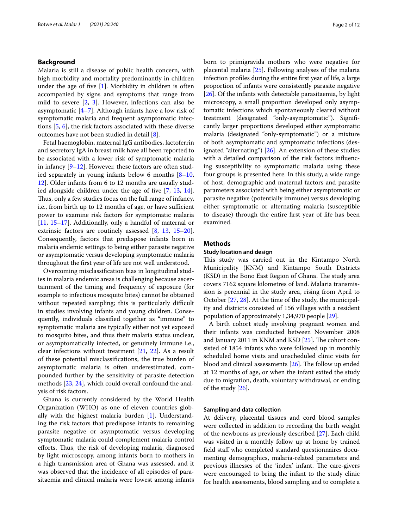## **Background**

Malaria is still a disease of public health concern, with high morbidity and mortality predominantly in children under the age of fve [\[1](#page-10-0)]. Morbidity in children is often accompanied by signs and symptoms that range from mild to severe [\[2](#page-10-1), [3](#page-10-2)]. However, infections can also be asymptomatic  $[4–7]$  $[4–7]$  $[4–7]$  $[4–7]$ . Although infants have a low risk of symptomatic malaria and frequent asymptomatic infections [\[5,](#page-10-5) [6](#page-10-6)], the risk factors associated with these diverse outcomes have not been studied in detail [\[8\]](#page-10-7).

Fetal haemoglobin, maternal IgG antibodies, lactoferrin and secretory IgA in breast milk have all been reported to be associated with a lower risk of symptomatic malaria in infancy  $[9-12]$  $[9-12]$ . However, these factors are often studied separately in young infants below 6 months  $[8-10, 10]$  $[8-10, 10]$  $[8-10, 10]$ [12\]](#page-10-9). Older infants from 6 to 12 months are usually stud-ied alongside children under the age of five [\[7](#page-10-4), [13](#page-10-11), [14](#page-10-12)]. Thus, only a few studies focus on the full range of infancy, i.e., from birth up to 12 months of age, or have sufficient power to examine risk factors for symptomatic malaria [[11,](#page-10-13) [15](#page-10-14)[–17](#page-10-15)]. Additionally, only a handful of maternal or extrinsic factors are routinely assessed [[8,](#page-10-7) [13](#page-10-11), [15](#page-10-14)[–20](#page-10-16)]. Consequently, factors that predispose infants born in malaria endemic settings to being either parasite negative or asymptomatic versus developing symptomatic malaria throughout the frst year of life are not well understood.

Overcoming misclassifcation bias in longitudinal studies in malaria endemic areas is challenging because ascertainment of the timing and frequency of exposure (for example to infectious mosquito bites) cannot be obtained without repeated sampling; this is particularly difficult in studies involving infants and young children. Consequently, individuals classifed together as "immune" to symptomatic malaria are typically either not yet exposed to mosquito bites, and thus their malaria status unclear, or asymptomatically infected, or genuinely immune i.e., clear infections without treatment [[21](#page-10-17), [22](#page-10-18)]. As a result of these potential misclassifcations, the true burden of asymptomatic malaria is often underestimated, compounded further by the sensitivity of parasite detection methods [\[23,](#page-10-19) [24\]](#page-10-20), which could overall confound the analysis of risk factors.

Ghana is currently considered by the World Health Organization (WHO) as one of eleven countries globally with the highest malaria burden [[1](#page-10-0)]. Understanding the risk factors that predispose infants to remaining parasite negative or asymptomatic versus developing symptomatic malaria could complement malaria control efforts. Thus, the risk of developing malaria, diagnosed by light microscopy, among infants born to mothers in a high transmission area of Ghana was assessed, and it was observed that the incidence of all episodes of parasitaemia and clinical malaria were lowest among infants born to primigravida mothers who were negative for placental malaria [[25\]](#page-10-21). Following analyses of the malaria infection profles during the entire frst year of life, a large proportion of infants were consistently parasite negative [[26\]](#page-10-22). Of the infants with detectable parasitaemia, by light microscopy, a small proportion developed only asymptomatic infections which spontaneously cleared without treatment (designated "only-asymptomatic"). Signifcantly larger proportions developed either symptomatic malaria (designated "only-symptomatic") or a mixture of both asymptomatic and symptomatic infections (designated "alternating") [[26\]](#page-10-22). An extension of these studies with a detailed comparison of the risk factors infuencing susceptibility to symptomatic malaria using these four groups is presented here. In this study, a wide range of host, demographic and maternal factors and parasite parameters associated with being either asymptomatic or parasite negative (potentially immune) versus developing either symptomatic or alternating malaria (susceptible to disease) through the entire frst year of life has been examined.

## **Methods**

## **Study location and design**

This study was carried out in the Kintampo North Municipality (KNM) and Kintampo South Districts (KSD) in the Bono East Region of Ghana. The study area covers 7162 square kilometres of land. Malaria transmission is perennial in the study area, rising from April to October [[27](#page-10-23), [28\]](#page-10-24). At the time of the study, the municipality and districts consisted of 156 villages with a resident population of approximately 1,34,970 people [[29\]](#page-10-25).

A birth cohort study involving pregnant women and their infants was conducted between November 2008 and January 2011 in KNM and KSD  $[25]$  $[25]$ . The cohort consisted of 1854 infants who were followed up in monthly scheduled home visits and unscheduled clinic visits for blood and clinical assessments  $[26]$  $[26]$ . The follow up ended at 12 months of age, or when the infant exited the study due to migration, death, voluntary withdrawal, or ending of the study  $[26]$ .

## **Sampling and data collection**

At delivery, placental tissues and cord blood samples were collected in addition to recording the birth weight of the newborns as previously described [\[27](#page-10-23)]. Each child was visited in a monthly follow up at home by trained field staff who completed standard questionnaires documenting demographics, malaria-related parameters and previous illnesses of the 'index' infant. The care-givers were encouraged to bring the infant to the study clinic for health assessments, blood sampling and to complete a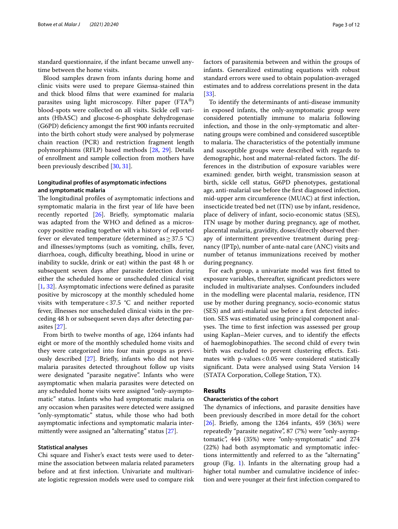standard questionnaire, if the infant became unwell anytime between the home visits.

Blood samples drawn from infants during home and clinic visits were used to prepare Giemsa-stained thin and thick blood flms that were examined for malaria parasites using light microscopy. Filter paper (FTA®) blood-spots were collected on all visits. Sickle cell variants (HbASC) and glucose-6-phosphate dehydrogenase (G6PD) defciency amongst the frst 900 infants recruited into the birth cohort study were analysed by polymerase chain reaction (PCR) and restriction fragment length polymorphisms (RFLP) based methods [\[28,](#page-10-24) [29\]](#page-10-25). Details of enrollment and sample collection from mothers have been previously described [[30](#page-10-26), [31\]](#page-10-27).

## **Longitudinal profles of asymptomatic infections and symptomatic malaria**

The longitudinal profiles of asymptomatic infections and symptomatic malaria in the frst year of life have been recently reported [\[26\]](#page-10-22). Briefy, symptomatic malaria was adapted from the WHO and defned as a microscopy positive reading together with a history of reported fever or elevated temperature (determined as  $\geq$  37.5 °C) and illnesses/symptoms (such as vomiting, chills, fever, diarrhoea, cough, difficulty breathing, blood in urine or inability to suckle, drink or eat) within the past 48 h or subsequent seven days after parasite detection during either the scheduled home or unscheduled clinical visit [[1,](#page-10-0) [32](#page-10-28)]. Asymptomatic infections were defned as parasite positive by microscopy at the monthly scheduled home visits with temperature <  $37.5$  °C and neither reported fever, illnesses nor unscheduled clinical visits in the preceding 48 h or subsequent seven days after detecting parasites [[27\]](#page-10-23).

From birth to twelve months of age, 1264 infants had eight or more of the monthly scheduled home visits and they were categorized into four main groups as previously described [[27](#page-10-23)]. Briefy, infants who did not have malaria parasites detected throughout follow up visits were designated "parasite negative". Infants who were asymptomatic when malaria parasites were detected on any scheduled home visits were assigned "only-asymptomatic" status. Infants who had symptomatic malaria on any occasion when parasites were detected were assigned "only-symptomatic" status, while those who had both asymptomatic infections and symptomatic malaria intermittently were assigned an "alternating" status [[27\]](#page-10-23).

## **Statistical analyses**

Chi square and Fisher's exact tests were used to determine the association between malaria related parameters before and at frst infection. Univariate and multivariate logistic regression models were used to compare risk factors of parasitemia between and within the groups of infants. Generalized estimating equations with robust standard errors were used to obtain population-averaged estimates and to address correlations present in the data [[33\]](#page-10-29).

To identify the determinants of anti-disease immunity in exposed infants, the only-asymptomatic group were considered potentially immune to malaria following infection, and those in the only-symptomatic and alternating groups were combined and considered susceptible to malaria. The characteristics of the potentially immune and susceptible groups were described with regards to demographic, host and maternal-related factors. The differences in the distribution of exposure variables were examined: gender, birth weight, transmission season at birth, sickle cell status, G6PD phenotypes, gestational age, anti-malarial use before the frst diagnosed infection, mid-upper arm circumference (MUAC) at frst infection, insecticide treated bed net (ITN) use by infant, residence, place of delivery of infant, socio-economic status (SES), ITN usage by mother during pregnancy, age of mother, placental malaria, gravidity, doses/directly observed therapy of intermittent preventive treatment during pregnancy (IPTp), number of ante-natal care (ANC) visits and number of tetanus immunizations received by mother during pregnancy.

For each group, a univariate model was frst ftted to exposure variables, thereafter, signifcant predictors were included in multivariate analyses. Confounders included in the modelling were placental malaria, residence, ITN use by mother during pregnancy, socio-economic status (SES) and anti-malarial use before a frst detected infection. SES was estimated using principal component analyses. The time to first infection was assessed per group using Kaplan–Meier curves, and to identify the efects of haemoglobinopathies. The second child of every twin birth was excluded to prevent clustering effects. Estimates with  $p$ -values < 0.05 were considered statistically signifcant. Data were analysed using Stata Version 14 (STATA Corporation, College Station, TX).

## **Results**

## **Characteristics of the cohort**

The dynamics of infections, and parasite densities have been previously described in more detail for the cohort [[26\]](#page-10-22). Briefy, among the 1264 infants, 459 (36%) were repeatedly "parasite negative", 87 (7%) were "only-asymptomatic", 444 (35%) were "only-symptomatic" and 274 (22%) had both asymptomatic and symptomatic infections intermittently and referred to as the "alternating" group (Fig. [1](#page-3-0)). Infants in the alternating group had a higher total number and cumulative incidence of infection and were younger at their frst infection compared to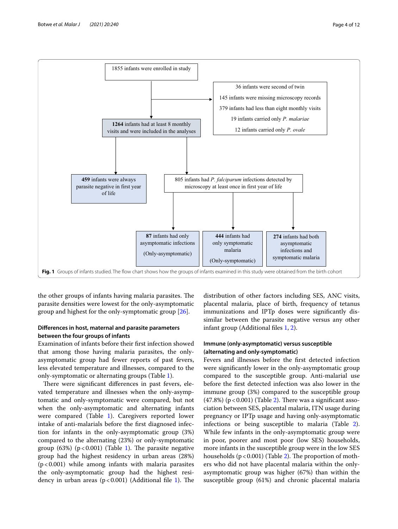

<span id="page-3-0"></span>the other groups of infants having malaria parasites. The parasite densities were lowest for the only-asymptomatic group and highest for the only-symptomatic group [[26\]](#page-10-22).

## **Diferences in host, maternal and parasite parameters between the four groups of infants**

Examination of infants before their frst infection showed that among those having malaria parasites, the onlyasymptomatic group had fewer reports of past fevers, less elevated temperature and illnesses, compared to the only-symptomatic or alternating groups (Table [1\)](#page-4-0).

There were significant differences in past fevers, elevated temperature and illnesses when the only-asymptomatic and only-symptomatic were compared, but not when the only-asymptomatic and alternating infants were compared (Table [1](#page-4-0)). Caregivers reported lower intake of anti-malarials before the frst diagnosed infection for infants in the only-asymptomatic group (3%) compared to the alternating (23%) or only-symptomatic group (63%) ( $p < 0.001$ ) (Table [1\)](#page-4-0). The parasite negative group had the highest residency in urban areas (28%)  $(p<0.001)$  while among infants with malaria parasites the only-asymptomatic group had the highest residency in urban areas  $(p < 0.001)$  $(p < 0.001)$  (Additional file 1). The

distribution of other factors including SES, ANC visits, placental malaria, place of birth, frequency of tetanus immunizations and IPTp doses were signifcantly dissimilar between the parasite negative versus any other infant group (Additional fles [1](#page-9-0), [2\)](#page-9-1).

## **Immune (only‑asymptomatic) versus susceptible (alternating and only‑symptomatic)**

Fevers and illnesses before the frst detected infection were signifcantly lower in the only-asymptomatic group compared to the susceptible group. Anti-malarial use before the frst detected infection was also lower in the immune group (3%) compared to the susceptible group  $(47.8%)$  (p < 0.001) (Table [2](#page-5-0)). There was a significant association between SES, placental malaria, ITN usage during pregnancy or IPTp usage and having only-asymptomatic infections or being susceptible to malaria (Table [2](#page-5-0)). While few infants in the only-asymptomatic group were in poor, poorer and most poor (low SES) households, more infants in the susceptible group were in the low SES households  $(p < 0.001)$  (Table [2\)](#page-5-0). The proportion of mothers who did not have placental malaria within the onlyasymptomatic group was higher (67%) than within the susceptible group (61%) and chronic placental malaria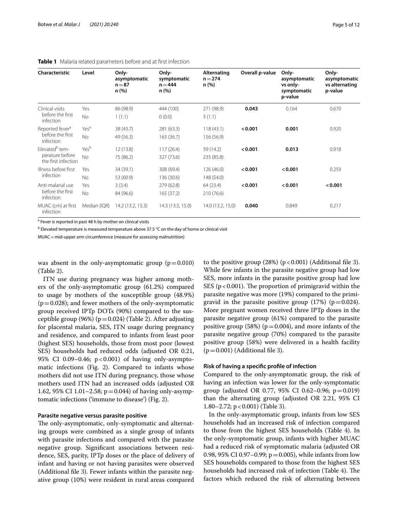| Characteristic                         | Level            | Only-<br>asymptomatic<br>$n = 87$<br>n(%) | Only-<br>symptomatic<br>$n = 444$<br>n(%) | Alternating<br>$n = 274$<br>n(%) | Overall p-value | Only-<br>asymptomatic<br>vs only-<br>symptomatic<br>p-value | Only-<br>asymptomatic<br>vs alternating<br>p-value |
|----------------------------------------|------------------|-------------------------------------------|-------------------------------------------|----------------------------------|-----------------|-------------------------------------------------------------|----------------------------------------------------|
| Clinical visits                        | Yes              | 86 (98.9)                                 | 444 (100)                                 | 271 (98.9)                       | 0.043           | 0.164                                                       | 0.670                                              |
| before the first<br>infection          | <b>No</b>        | 1(1.1)                                    | 0(0.0)                                    | 3(1.1)                           |                 |                                                             |                                                    |
| Reported fever <sup>a</sup>            | Yes <sup>a</sup> | 38 (43.7)                                 | 281 (63.3)                                | 118(43.1)                        | < 0.001         | 0.001                                                       | 0.920                                              |
| before the first<br>infection          | <b>No</b>        | 49 (56.3)                                 | 163 (36.7)                                | 156 (56.9)                       |                 |                                                             |                                                    |
| Flevated <sup>b</sup> tem-             | Yesb             | 12(13.8)                                  | 117(26.4)                                 | 39 (14.2)                        | < 0.001         | 0.013                                                       | 0.918                                              |
| perature before<br>the first infection | <b>No</b>        | 75 (86.2)                                 | 327 (73.6)                                | 235 (85.8)                       |                 |                                                             |                                                    |
| Illness before first                   | Yes              | 34 (39.1)                                 | 308 (69.4)                                | 126 (46.0)                       | < 0.001         | < 0.001                                                     | 0.259                                              |
| infection                              | No               | 53 (60.9)                                 | 136 (30.6)                                | 148 (54.0)                       |                 |                                                             |                                                    |
| Anti-malarial use                      | Yes              | 3(3.4)                                    | 279 (62.8)                                | 64 (23.4)                        | < 0.001         | < 0.001                                                     | < 0.001                                            |
| before the first<br>infection          | <b>No</b>        | 84 (96.6)                                 | 165 (37.2)                                | 210 (76.6)                       |                 |                                                             |                                                    |
| MUAC (cm) at first<br>infection        | Median (IQR)     | 14.2 (13.2, 15.3)                         | 14.3 (13.5, 15.0)                         | 14.0 (13.2, 15.0)                | 0.040           | 0.849                                                       | 0.217                                              |

## <span id="page-4-0"></span>**Table 1** Malaria related parameters before and at frst infection

<sup>a</sup> Fever is reported in past 48 h by mother on clinical visits

<sup>b</sup> Elevated temperature is measured temperature above 37.5 °C on the day of home or clinical visit

MUAC=mid-upper arm circumference (measure for assessing malnutrition)

was absent in the only-asymptomatic group  $(p=0.010)$ (Table [2](#page-5-0)).

ITN use during pregnancy was higher among mothers of the only-asymptomatic group (61.2%) compared to usage by mothers of the susceptible group (48.9%)  $(p=0.028)$ ; and fewer mothers of the only-asymptomatic group received IPTp DOTs (90%) compared to the susceptible group (96%) ( $p=0.024$ ) (Table [2\)](#page-5-0). After adjusting for placental malaria, SES, ITN usage during pregnancy and residence, and compared to infants from least poor (highest SES) households, those from most poor (lowest SES) households had reduced odds (adjusted OR 0.21, 95% CI 0.09-0.46; p<0.001) of having only-asymptomatic infections (Fig. [2\)](#page-6-0). Compared to infants whose mothers did not use ITN during pregnancy, those whose mothers used ITN had an increased odds (adjusted OR 1.62, 95% CI 1.01–2.58;  $p = 0.044$ ) of having only-asymptomatic infections ('immune to disease') (Fig. [2](#page-6-0)).

## **Parasite negative versus parasite positive**

The only-asymptomatic, only-symptomatic and alternating groups were combined as a single group of infants with parasite infections and compared with the parasite negative group. Signifcant associations between residence, SES, parity, IPTp doses or the place of delivery of infant and having or not having parasites were observed (Additional fle [3](#page-9-2)). Fewer infants within the parasite negative group (10%) were resident in rural areas compared

to the positive group  $(28%)$  (p < 0.001) (Additional file [3](#page-9-2)). While few infants in the parasite negative group had low SES, more infants in the parasite positive group had low SES ( $p < 0.001$ ). The proportion of primigravid within the parasite negative was more (19%) compared to the primigravid in the parasite positive group  $(17%)$  (p=0.024). More pregnant women received three IPTp doses in the parasite negative group (61%) compared to the parasite positive group (58%) ( $p=0.004$ ), and more infants of the parasite negative group (70%) compared to the parasite positive group (58%) were delivered in a health facility  $(p=0.001)$  (Additional file [3](#page-9-2)).

## **Risk of having a specifc profle of infection**

Compared to the only-asymptomatic group, the risk of having an infection was lower for the only-symptomatic group (adjusted OR 0.77, 95% CI 0.62–0.96;  $p = 0.019$ ) than the alternating group (adjusted OR 2.21, 95% CI 1.80–2.72;  $p < 0.001$ ) (Table [3](#page-6-1)).

In the only-asymptomatic group, infants from low SES households had an increased risk of infection compared to those from the highest SES households (Table [4\)](#page-7-0). In the only-symptomatic group, infants with higher MUAC had a reduced risk of symptomatic malaria (adjusted OR 0.98, 95% CI 0.97–0.99;  $p = 0.005$ ), while infants from low SES households compared to those from the highest SES households had increased risk of infection (Table [4\)](#page-7-0). The factors which reduced the risk of alternating between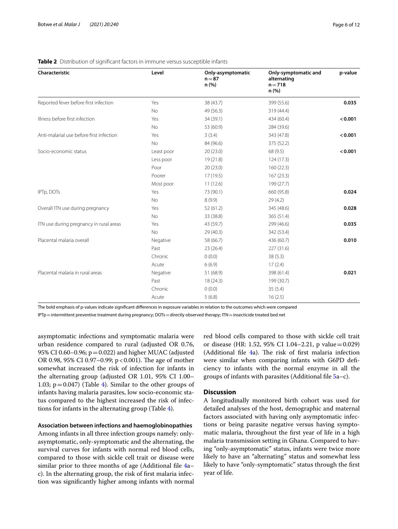| Characteristic                           | Level      | Only-asymptomatic<br>$n = 87$<br>n (%) | Only-symptomatic and<br>alternating<br>$n = 718$<br>n(%) | p-value |
|------------------------------------------|------------|----------------------------------------|----------------------------------------------------------|---------|
| Reported fever before first infection    | Yes        | 38 (43.7)                              | 399 (55.6)                                               | 0.035   |
|                                          | <b>No</b>  | 49 (56.3)                              | 319 (44.4)                                               |         |
| Illness before first infection           | Yes        | 34 (39.1)                              | 434 (60.4)                                               | < 0.001 |
|                                          | <b>No</b>  | 53 (60.9)                              | 284 (39.6)                                               |         |
| Anti-malarial use before first infection | Yes        | 3(3.4)                                 | 343 (47.8)                                               | < 0.001 |
|                                          | <b>No</b>  | 84 (96.6)                              | 375 (52.2)                                               |         |
| Socio-economic status                    | Least poor | 20(23.0)                               | 68 (9.5)                                                 | < 0.001 |
|                                          | Less poor  | 19(21.8)                               | 124 (17.3)                                               |         |
|                                          | Poor       | 20(23.0)                               | 160(22.3)                                                |         |
|                                          | Poorer     | 17(19.5)                               | 167(23.3)                                                |         |
|                                          | Most poor  | 11(12.6)                               | 199 (27.7)                                               |         |
| IPTp, DOTs                               | Yes        | 73 (90.1)                              | 660 (95.8)                                               | 0.024   |
|                                          | <b>No</b>  | 8(9.9)                                 | 29(4.2)                                                  |         |
| Overall ITN use during pregnancy         | Yes        | 52(61.2)                               | 345 (48.6)                                               | 0.028   |
|                                          | <b>No</b>  | 33 (38.8)                              | 365 (51.4)                                               |         |
| ITN use during pregnancy in rural areas  | Yes        | 43 (59.7)                              | 299 (46.6)                                               | 0.035   |
|                                          | <b>No</b>  | 29 (40.3)                              | 342 (53.4)                                               |         |
| Placental malaria overall                | Negative   | 58 (66.7)                              | 436 (60.7)                                               | 0.010   |
|                                          | Past       | 23 (26.4)                              | 227 (31.6)                                               |         |
|                                          | Chronic    | 0(0.0)                                 | 38(5.3)                                                  |         |
|                                          | Acute      | 6(6.9)                                 | 17(2.4)                                                  |         |
| Placental malaria in rural areas         | Negative   | 51 (68.9)                              | 398 (61.4)                                               | 0.021   |
|                                          | Past       | 18(24.3)                               | 199 (30.7)                                               |         |
|                                          | Chronic    | 0(0.0)                                 | 35(5.4)                                                  |         |
|                                          | Acute      | 5(6.8)                                 | 16(2.5)                                                  |         |

<span id="page-5-0"></span>**Table 2** Distribution of signifcant factors in immune versus susceptible infants

The bold emphasis of p-values indicate signifcant diferences in exposure variables in relation to the outcomes which were compared

IPTp=intermittent preventive treatment during pregnancy; DOTs=directly observed therapy; ITN=insecticide treated bed net

asymptomatic infections and symptomatic malaria were urban residence compared to rural (adjusted OR 0.76, 95% CI 0.60–0.96;  $p = 0.022$ ) and higher MUAC (adjusted OR 0.98, 95% CI 0.97-0.99;  $p < 0.001$ ). The age of mother somewhat increased the risk of infection for infants in the alternating group (adjusted OR 1.01, 95% CI 1.00– 1.03;  $p = 0.047$ ) (Table [4\)](#page-7-0). Similar to the other groups of infants having malaria parasites, low socio-economic status compared to the highest increased the risk of infections for infants in the alternating group (Table [4\)](#page-7-0).

## **Association between infections and haemoglobinopathies**

Among infants in all three infection groups namely: onlyasymptomatic, only-symptomatic and the alternating, the survival curves for infants with normal red blood cells, compared to those with sickle cell trait or disease were similar prior to three months of age (Additional fle [4](#page-9-3)a– c). In the alternating group, the risk of frst malaria infection was signifcantly higher among infants with normal red blood cells compared to those with sickle cell trait or disease (HR: 1.52, 95% CI 1.04–2.21, p value=0.029) (Additional file  $4a$  $4a$ ). The risk of first malaria infection were similar when comparing infants with G6PD defciency to infants with the normal enzyme in all the groups of infants with parasites (Additional file  $5a-c$  $5a-c$ ).

## **Discussion**

A longitudinally monitored birth cohort was used for detailed analyses of the host, demographic and maternal factors associated with having only asymptomatic infections or being parasite negative versus having symptomatic malaria, throughout the frst year of life in a high malaria transmission setting in Ghana. Compared to having "only-asymptomatic" status, infants were twice more likely to have an "alternating" status and somewhat less likely to have "only-symptomatic" status through the frst year of life.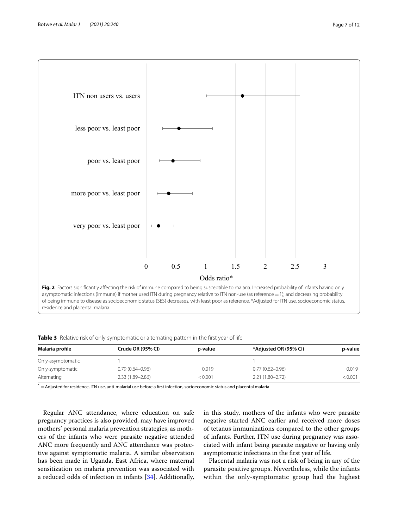

<span id="page-6-1"></span><span id="page-6-0"></span>**Table 3** Relative risk of only-symptomatic or alternating pattern in the first year of life

| Malaria profile   | Crude OR (95% CI)   | p-value | *Adjusted OR (95% CI) | p-value |
|-------------------|---------------------|---------|-----------------------|---------|
| Only-asymptomatic |                     |         |                       |         |
| Only-symptomatic  | $0.79(0.64 - 0.96)$ | 0.019   | $0.77(0.62 - 0.96)$   | 0.019   |
| Alternating       | $2.33(1.89 - 2.86)$ | < 0.001 | $2.21(1.80 - 2.72)$   | < 0.001 |

 $* =$  Adjusted for residence, ITN use, anti-malarial use before a first infection, socioeconomic status and placental malaria

Regular ANC attendance, where education on safe pregnancy practices is also provided, may have improved mothers' personal malaria prevention strategies, as mothers of the infants who were parasite negative attended ANC more frequently and ANC attendance was protective against symptomatic malaria. A similar observation has been made in Uganda, East Africa, where maternal sensitization on malaria prevention was associated with a reduced odds of infection in infants [[34\]](#page-10-30). Additionally,

in this study, mothers of the infants who were parasite negative started ANC earlier and received more doses of tetanus immunizations compared to the other groups of infants. Further, ITN use during pregnancy was associated with infant being parasite negative or having only asymptomatic infections in the frst year of life.

Placental malaria was not a risk of being in any of the parasite positive groups. Nevertheless, while the infants within the only-symptomatic group had the highest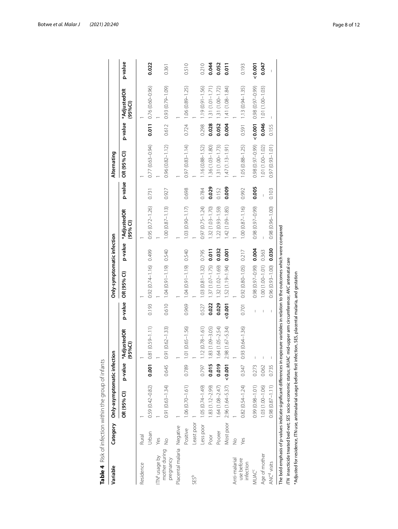| Variable                   | Category      | Only-asymptomatic infect |         | δ                   |         | Only-symptomatic infection |         |                         |         | Alternating         |         |                                   |         |
|----------------------------|---------------|--------------------------|---------|---------------------|---------|----------------------------|---------|-------------------------|---------|---------------------|---------|-----------------------------------|---------|
|                            |               | OR (95% CI)              | p-value | AdjustedOR<br>95%CI | p-value | OR (95% CI)                | p-value | *AdjustedOR<br>(95% Cl) | p-value | OR (95% CI)         | p-value | *AdjustedOR<br>$(95%$ CI)         | p-value |
| Residence                  | Rural         |                          |         |                     |         |                            |         |                         |         |                     |         |                                   |         |
|                            | Urban         | $0.59(0.42 - 0.82)$      | 0.001   | 81 (0.59-1.11)      | 0.193   | $0.92(0.74 - 1.16)$ 0.499  |         | $0.95(0.72 - 1.26)$     | 0.731   | $0.77(0.63 - 0.94)$ |         | $0.011$ 0.76 (0.60-0.96)          | 0.022   |
| ITN <sup>a</sup> usage by  | Yes           |                          |         |                     |         |                            |         |                         |         |                     |         |                                   |         |
| mother during<br>pregnancy | $\frac{1}{2}$ | $0.91(0.63 - 1.34)$      | 0.645   | $91(0.62 - 1.33)$   | 0.610   | 1.04 (0.91-1.9) 0.540      |         | $1.00(0.87 - 1.13)$     | 0.927   | $0.96(0.82 - 1.12)$ | 0.612   | $0.93(0.79 - 1.09)$               | 0.361   |
| Placental malaria          | Negative      |                          |         |                     |         |                            |         |                         |         |                     |         |                                   |         |
|                            | Positive      | $1.06(0.70 - 1.61)$      | 0.789   | $.01(0.65 - 1.56)$  | 0.969   | 1.04 (0.91-1.19) 0.540     |         | 1.03 (0.90-1.17)        | 0.698   | $0.97(0.83 - 1.14)$ | 0.724   | $1.06(0.89 - 1.25)$               | 0.510   |
| SES <sup>b</sup>           | -east poor    |                          |         |                     |         |                            |         |                         |         |                     |         |                                   |         |
|                            | Less poor     | $1.05(0.74 - 1.49)$      | 0.797   | $1.12(0.78 - 1.61)$ | 0.527   | $1.03(0.81 - 1.32)$        | 0.795   | $0.97(0.75 - 1.24)$     | 0.784   | $1.16(0.88 - 1.52)$ | 0.298   | $1.19(0.91 - 1.56)$               | 0.210   |
|                            | Poor          | $1.83(1.12 - 2.99)$      | 0.015   | 83 (1.09-3.05)      | 0.022   | $1.37(1.07 - 1.75)$        | 0.011   | $1.32(1.03 - 1.70)$     | 0.029   | $1.36(1.03 - 1.80)$ | 0.028   | $1.31(0.01 - 1.71)$               | 0.044   |
|                            | Poorer        | $1.64(1.08 - 2.47)$      | 0.019   | .64 (1.05-2.54)     | 0.029   | 1.32 (1.02-1.69)           | 0.032   | $1.22(0.93 - 1.59)$     | 0.152   | $.31(1.00 - 1.73)$  | 0.052   | $1.31(1.00 - 1.72)$               | 0.052   |
|                            | Most poor     | $2.96(1.64 - 5.37)$      | 0.001   | $.98(1.67 - 5.34)$  |         | $< 0.001$ 1.52 (1.19-1.94) | 0.001   | $1.42(1.09 - 1.85)$     | 0.009   | $1.47(1.13 - 1.91)$ | 0.004   | $1.41(1.08 - 1.84)$               | 0.011   |
| Anti-malarial              | $\frac{1}{2}$ |                          |         |                     |         |                            |         |                         |         |                     |         |                                   |         |
| use before<br>infection    | Yes           | $0.82(0.54 - 1.24)$      | 0.347   | $.93(0.64 - 1.36)$  | 0.701   | $0.92(0.80 - 1.05)$ 0.217  |         | $1.00(0.87 - 1.16)$     | 0.992   | $1.05(0.88 - 1.25)$ | 0.591   | $1.13(0.94 - 1.35)$               | 0.193   |
| VUAC <sup>C</sup>          |               | $0.99(0.98 - 1.01)$      | 0.273   |                     |         | $0.98(0.97 - 0.99)$        | 0.004   | 0.98 (0.97-0.99)        | 0.005   | 0.98 (0.97-0.99)    |         | $(66.0 - 10.0)$ 86.0 <b>100.0</b> | 0.001   |
| Age of mother              |               | $1.03(1.00 - 1.06)$      | 0.062   |                     |         | 1.00 (1.00-1.01) 0.363     |         |                         |         | $.01(1.00 - 1.02)$  | 0.046   | $1.01(1.00 - 1.03)$               | 0.047   |
| ANC <sup>d</sup> visits    |               | $0.98(0.87 - 1.11)$      | 0.735   |                     |         | $0.96(0.93 - 1.00)$        | 0.030   | $0.98(0.96 - 1.00)$     | 0.103   | $0.97(0.93 - 1.01)$ | 0.155   |                                   |         |

<span id="page-7-0"></span>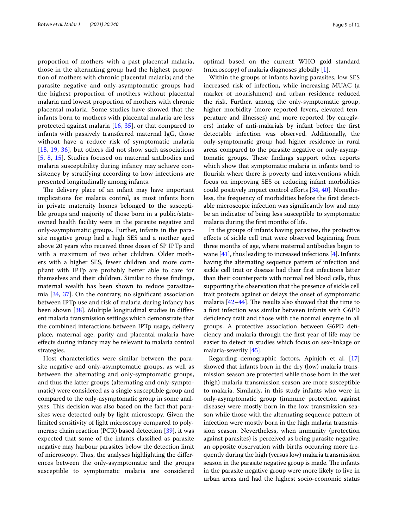proportion of mothers with a past placental malaria, those in the alternating group had the highest proportion of mothers with chronic placental malaria; and the parasite negative and only-asymptomatic groups had the highest proportion of mothers without placental malaria and lowest proportion of mothers with chronic placental malaria. Some studies have showed that the infants born to mothers with placental malaria are less protected against malaria [[16](#page-10-31), [35\]](#page-10-32), or that compared to infants with passively transferred maternal IgG, those without have a reduce risk of symptomatic malaria [[18](#page-10-33), [19,](#page-10-34) [36\]](#page-10-35), but others did not show such associations [[5](#page-10-5), [8](#page-10-7), [15](#page-10-14)]. Studies focused on maternal antibodies and malaria susceptibility during infancy may achieve consistency by stratifying according to how infections are presented longitudinally among infants.

The delivery place of an infant may have important implications for malaria control, as most infants born in private maternity homes belonged to the susceptible groups and majority of those born in a public/stateowned health facility were in the parasite negative and only-asymptomatic groups. Further, infants in the parasite negative group had a high SES and a mother aged above 20 years who received three doses of SP IPTp and with a maximum of two other children. Older mothers with a higher SES, fewer children and more compliant with IPTp are probably better able to care for themselves and their children. Similar to these fndings, maternal wealth has been shown to reduce parasitaemia [[34](#page-10-30), [37\]](#page-11-0). On the contrary, no signifcant association between IPTp use and risk of malaria during infancy has been shown [[38\]](#page-11-1). Multiple longitudinal studies in diferent malaria transmission settings which demonstrate that the combined interactions between IPTp usage, delivery place, maternal age, parity and placental malaria have efects during infancy may be relevant to malaria control strategies.

Host characteristics were similar between the parasite negative and only-asymptomatic groups, as well as between the alternating and only-symptomatic groups, and thus the latter groups (alternating and only-symptomatic) were considered as a single susceptible group and compared to the only-asymptomatic group in some analyses. This decision was also based on the fact that parasites were detected only by light microscopy. Given the limited sensitivity of light microscopy compared to polymerase chain reaction (PCR) based detection [[39](#page-11-2)], it was expected that some of the infants classifed as parasite negative may harbour parasites below the detection limit of microscopy. Thus, the analyses highlighting the differences between the only-asymptomatic and the groups susceptible to symptomatic malaria are considered optimal based on the current WHO gold standard (microscopy) of malaria diagnoses globally [[1\]](#page-10-0).

Within the groups of infants having parasites, low SES increased risk of infection, while increasing MUAC (a marker of nourishment) and urban residence reduced the risk. Further, among the only-symptomatic group, higher morbidity (more reported fevers, elevated temperature and illnesses) and more reported (by caregivers) intake of anti-malarials by infant before the frst detectable infection was observed. Additionally, the only-symptomatic group had higher residence in rural areas compared to the parasite negative or only-asymptomatic groups. These findings support other reports which show that symptomatic malaria in infants tend to flourish where there is poverty and interventions which focus on improving SES or reducing infant morbidities could positively impact control efforts [[34,](#page-10-30) [40](#page-11-3)]. Nonetheless, the frequency of morbidities before the frst detectable microscopic infection was signifcantly low and may be an indicator of being less susceptible to symptomatic malaria during the frst months of life.

In the groups of infants having parasites, the protective efects of sickle cell trait were observed beginning from three months of age, where maternal antibodies begin to wane  $[41]$  $[41]$ , thus leading to increased infections  $[4]$  $[4]$ . Infants having the alternating sequence pattern of infection and sickle cell trait or disease had their frst infections latter than their counterparts with normal red blood cells, thus supporting the observation that the presence of sickle cell trait protects against or delays the onset of symptomatic malaria  $[42-44]$  $[42-44]$  $[42-44]$ . The results also showed that the time to a frst infection was similar between infants with G6PD deficiency trait and those with the normal enzyme in all groups. A protective association between G6PD defciency and malaria through the frst year of life may be easier to detect in studies which focus on sex-linkage or malaria-severity [\[45](#page-11-7)].

Regarding demographic factors, Apinjoh et al*.* [[17](#page-10-15)] showed that infants born in the dry (low) malaria transmission season are protected while those born in the wet (high) malaria transmission season are more susceptible to malaria. Similarly, in this study infants who were in only-asymptomatic group (immune protection against disease) were mostly born in the low transmission season while those with the alternating sequence pattern of infection were mostly born in the high malaria transmission season. Nevertheless, when immunity (protection against parasites) is perceived as being parasite negative, an opposite observation with births occurring more frequently during the high (versus low) malaria transmission season in the parasite negative group is made. The infants in the parasite negative group were more likely to live in urban areas and had the highest socio-economic status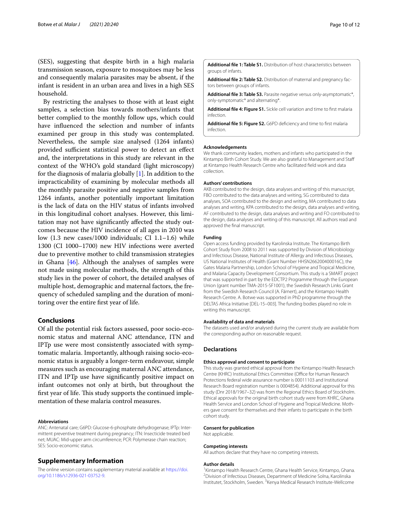(SES), suggesting that despite birth in a high malaria transmission season, exposure to mosquitoes may be less and consequently malaria parasites may be absent, if the infant is resident in an urban area and lives in a high SES household.

By restricting the analyses to those with at least eight samples, a selection bias towards mothers/infants that better complied to the monthly follow ups, which could have infuenced the selection and number of infants examined per group in this study was contemplated. Nevertheless, the sample size analysed (1264 infants) provided sufficient statistical power to detect an effect and, the interpretations in this study are relevant in the context of the WHO's gold standard (light microscopy) for the diagnosis of malaria globally [[1\]](#page-10-0). In addition to the impracticability of examining by molecular methods all the monthly parasite positive and negative samples from 1264 infants, another potentially important limitation is the lack of data on the HIV status of infants involved in this longitudinal cohort analyses. However, this limitation may not have signifcantly afected the study outcomes because the HIV incidence of all ages in 2010 was low (1.3 new cases/1000 individuals; CI 1.1–1.6) while 1300 (CI 1000–1700) new HIV infections were averted due to preventive mother to child transmission strategies in Ghana [[46\]](#page-11-8). Although the analyses of samples were not made using molecular methods, the strength of this study lies in the power of cohort, the detailed analyses of multiple host, demographic and maternal factors, the frequency of scheduled sampling and the duration of monitoring over the entire frst year of life.

## **Conclusions**

Of all the potential risk factors assessed, poor socio-economic status and maternal ANC attendance, ITN and IPTp use were most consistently associated with symptomatic malaria. Importantly, although raising socio-economic status is arguably a longer-term endeavour, simple measures such as encouraging maternal ANC attendance, ITN and IPTp use have signifcantly positive impact on infant outcomes not only at birth, but throughout the first year of life. This study supports the continued implementation of these malaria control measures.

#### **Abbreviations**

ANC: Antenatal care; G6PD: Glucose-6-phosphate dehydrogenase; IPTp: Intermittent preventive treatment during pregnancy; ITN: Insecticide treated bed net; MUAC: Mid-upper arm circumference; PCR: Polymerase chain reaction; SES: Socio-economic status.

#### **Supplementary Information**

The online version contains supplementary material available at [https://doi.](https://doi.org/10.1186/s12936-021-03752-9) [org/10.1186/s12936-021-03752-9](https://doi.org/10.1186/s12936-021-03752-9).

<span id="page-9-1"></span><span id="page-9-0"></span>**Additional fle 1: Table S1.** Distribution of host characteristics between groups of infants.

<span id="page-9-2"></span>Additional file 2: Table S2. Distribution of maternal and pregnancy factors between groups of infants.

<span id="page-9-3"></span>**Additional fle 3: Table S3.** Parasite negative versus only-asymptomatic\*, only-symptomatic\* and alternating\*.

<span id="page-9-4"></span>**Additional fle 4: Figure S1.** Sickle cell variation and time to frst malaria infection.

**Additional fle 5: Figure S2.** G6PD defciency and time to frst malaria infection.

#### **Acknowledgements**

We thank community leaders, mothers and infants who participated in the Kintampo Birth Cohort Study. We are also grateful to Management and Staf at Kintampo Health Research Centre who facilitated feld work and data collection.

#### **Authors' contributions**

AKB contributed to the design, data analyses and writing of this manuscript, FBO contributed to the data analyses and writing, SG contributed to data analyses, SOA contributed to the design and writing, MA contributed to data analyses and writing, KPA contributed to the design, data analyses and writing, AF contributed to the design, data analyses and writing and FO contributed to the design, data analyses and writing of this manuscript. All authors read and approved the fnal manuscript.

#### **Funding**

Open access funding provided by Karolinska Institute. The Kintampo Birth Cohort Study from 2008 to 2011 was supported by Division of Microbiology and Infectious Disease, National Institute of Allergy and Infectious Diseases, US National Institutes of Health (Grant Number HHSN266200400016C), the Gates Malaria Partnership, London School of Hygiene and Tropical Medicine, and Malaria Capacity Development Consortium. This study is a SMART project that was supported in part by the EDCTP2 Programme through the European Union (grant number TMA-2015-SF1001), the Swedish Research Links Grant from the Swedish Research Council (A. Färnert), and the Kintampo Health Research Centre. A. Botwe was supported in PhD programme through the DELTAS Africa Initiative [DEL-15–003]. The funding bodies played no role in writing this manuscript.

#### **Availability of data and materials**

The datasets used and/or analysed during the current study are available from the corresponding author on reasonable request.

#### **Declarations**

#### **Ethics approval and consent to participate**

This study was granted ethical approval from the Kintampo Health Research Centre (KHRC) Institutional Ethics Committee (Office for Human Research Protections federal wide assurance number is 00011103 and Institutional Research Board registration number is 0004854). Additional approval for this study (Dnr 2018/1967–32) was from the Regional Ethics Board of Stockholm. Ethical approvals for the original birth cohort study were from KHRC, Ghana Health Service and London School of Hygiene and Tropical Medicine. Mothers gave consent for themselves and their infants to participate in the birth cohort study.

#### **Consent for publication**

Not applicable.

#### **Competing interests**

All authors declare that they have no competing interests.

#### **Author details**

<sup>1</sup> Kintampo Health Research Centre, Ghana Health Service, Kintampo, Ghana. <sup>2</sup> Division of Infectious Diseases, Department of Medicine Solna, Karolinska Institutet, Stockholm, Sweden. <sup>3</sup> Kenya Medical Research Institute-Wellcome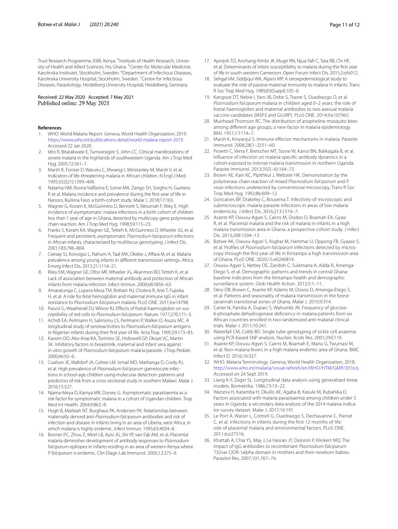Trust Research Programme, Kilifi, Kenya. <sup>4</sup>Institute of Health Research, University of Health and Allied Sciences, Ho, Ghana. <sup>5</sup> Center for Molecular Medicine, Karolinska Institutet, Stockholm, Sweden. <sup>6</sup>Department of Infectious Diseases, Karolinska University Hospital, Stockholm, Sweden. <sup>7</sup> Centre for Infectious Diseases, Parasitology, Heidelberg University Hospital, Heidelberg, Germany.

## Received: 22 May 2020 Accepted: 7 May 2021 Published online: 29 May 2021

#### **References**

- <span id="page-10-0"></span>1. WHO. World Malaria Report. Geneva, World Health Organization; 2019. [https://www.who.int/publications-detail/world-malaria-report-2019.](https://www.who.int/publications-detail/world-malaria-report-2019) Accessed 22 Jan 2020.
- <span id="page-10-1"></span>2. Idro R, Bitarakwate E, Tumwesigire S, John CC. Clinical manifestations of severe malaria in the highlands of southwestern Uganda. Am J Trop Med Hyg. 2005;72:561–7.
- <span id="page-10-2"></span>3. Marsh K, Forster D, Waruiru C, Mwangi I, Winstanley M, Marsh V, et al. Indicators of life-threatening malaria in African children. N Engl J Med. 1995;332(21):1399–404.
- <span id="page-10-3"></span>4. Natama HM, Rovira-Vallbona E, Some MA, Zango SH, Sorgho H, Guetens P, et al. Malaria incidence and prevalence during the frst year of life in Nanoro, Burkina Faso: a birth-cohort study. Malar J. 2018;17:163.
- <span id="page-10-5"></span>5. Wagner G, Koram K, McGuinness D, Bennett S, Nkrumah F, Riley E. High incidence of asymptomatic malara infections in a birth cohort of children less than 1 year of age in Ghana, detected by multicopy gene polymerase chain reaction. Am J Trop Med Hyg. 1998;59:115–23.
- <span id="page-10-6"></span>6. Franks S, Koram KA, Wagner GE, Tetteh K, McGuinness D, Wheeler JG, et al. Frequent and persistent, asymptomatic *Plasmodium falciparum* infections in African infants, characterized by multilocus genotyping. J Infect Dis. 2001;183:796–804.
- <span id="page-10-4"></span>7. Ceesay SJ, Koivogui L, Nahum A, Taal MA, Okebe J, Afara M, et al. Malaria prevalence among young infants in diferent transmission settings. Africa Emerg Infect Dis. 2015;21:1114–21.
- <span id="page-10-7"></span>8. Riley EM, Wagner GE, Ofori MF, Wheeler JG, Akanmori BD, Tetteh K, et al. Lack of association between maternal antibody and protection of African infants from malaria infection. Infect Immun. 2000;68:5856–63.
- <span id="page-10-8"></span>9. Amaratunga C, Lopera-Mesa TM, Brittain NJ, Cholera R, Arie T, Fujioka H, et al. A role for fetal hemoglobin and maternal immune IgG in infant resistance to *Plasmodium falciparum* malaria. PLoS ONE. 2011;6:e14798.
- <span id="page-10-10"></span>10. Pasvol G, Weatherall DJ, Wilson RJ. Effects of foetal haemoglobin on susceptibility of red cells to *Plasmodium falciparum*. Nature. 1977;270:171–3.
- <span id="page-10-13"></span>11. Achidi EA, Perlmann H, Salimonu LS, Perlmann P, Walker O, Asuzu MC. A longitudinal study of seroreactivities to *Plasmodium falciparum* antigens in Nigerian infants during their frst year of life. Acta Trop. 1995;59:173–83.
- <span id="page-10-9"></span>12. Kassim OO, Ako-Anai KA, Torimiro SE, Hollowell GP, Okoye VC, Martin SK. Inhibitory factors in breastmilk, maternal and infant sera against in vitro growth of *Plasmodium falciparum* malaria parasite. J Trop Pediatr. 2000;46:92–6.
- <span id="page-10-11"></span>13. Coalson JE, Walldorf JA, Cohee LM, Ismail MD, Mathanga D, Cordy RJ, et al. High prevalence of *Plasmodium falciparum* gametocyte infections in school-age children using molecular detection: patterns and predictors of risk from a cross-sectional study in southern Malawi. Malar J. 2016;15:527.
- <span id="page-10-12"></span>14. Njama-Meya D, Kamya MR, Dorsey G. Asymptomatic parasitaemia as a risk factor for symptomatic malaria in a cohort of Ugandan children. Trop Med Int Health. 2004;9:862–8.
- <span id="page-10-14"></span>15. Hogh B, Marbiah NT, Burghaus PA, Andersen PK. Relationship between maternally derived anti-*Plasmodium falciparum* antibodies and risk of infection and disease in infants living in an area of Liberia, west Africa, in which malaria is highly endemic. Infect Immun. 1995;63:4034–8.
- <span id="page-10-31"></span>16. Bonner PC, Zhou Z, Mirel LB, Ayisi JG, Shi YP, van Eijk AM, et al. Placental malaria diminishes development of antibody responses to *Plasmodium falciparum* epitopes in infants residing in an area of western Kenya where *P. falciparum* is endemic. Clin Diagn Lab Immunol. 2005;12:375–9.
- <span id="page-10-15"></span>17. Apinjoh TO, Anchang-Kimbi JK, Mugri RN, Njua-Yaf C, Tata RB, Chi HF, et al. Determinants of infant susceptibility to malaria during the frst year of life in south western Cameroon. Open Forum Infect Dis. 2015;2:ofv012.
- <span id="page-10-33"></span>18. Sehgal VM, Siddjiqui WA, Alpers MP. A seroepidemiological study to evaluate the role of passive maternal immunity to malaria in infants. Trans R Soc Trop Med Hyg. 1989;83(Suppl):105–6.
- <span id="page-10-34"></span>19. Kangoye DT, Nebie I, Yaro JB, Debe S, Traore S, Ouedraogo O, et al. *Plasmodium falciparum* malaria in children aged 0–2 years: the role of foetal haemoglobin and maternal antibodies to two asexual malaria vaccine candidates (MSP3 and GLURP). PLoS ONE. 2014;9:e107965.
- <span id="page-10-16"></span>20. Muirhead-Thomson RC. The distribution of anopheline mosquito bites among diferent age groups; a new factor in malaria epidemiology. BMJ. 1951;1:1114–7.
- <span id="page-10-17"></span>21. Marsh K, Kinyanjui S. Immune effector mechanisms in malaria. Parasite Immunol. 2006;28(1–2):51–60.
- <span id="page-10-18"></span>22. Proietti C, Verra F, Bretscher MT, Stone W, Kanoi BN, Balikagala B, et al. Infuence of infection on malaria-specifc antibody dynamics in a cohort exposed to intense malaria transmission in northern Uganda. Parasite Immunol. 2013;35(5–6):164–73.
- <span id="page-10-19"></span>23. Brown AE, Kain KC, Pipithkul J, Webster HK. Demonstration by the polymerase chain reaction of mixed *Plasmodium falciparum* and *P. vivax* infections undetected by conventional microscopy. Trans R Soc Trop Med Hyg. 1992;86:609–12.
- <span id="page-10-20"></span>24. Goncalves BP, Drakeley C, Bousema T. Infectivity of microscopic and submicroscopic malaria parasite infections in areas of low malaria endemicity. J Infect Dis. 2016;213:1516–7.
- <span id="page-10-21"></span>25. Asante KP, Owusu-Agyei S, Cairns M, Dodoo D, Boamah EA, Gyasi R, et al. Placental malaria and the risk of malaria in infants in a high malaria transmission area in Ghana: a prospective cohort study. J Infect Dis. 2013;208:1504–13.
- <span id="page-10-22"></span>26. Botwe AK, Owusu-Agyei S, Asghar M, Hammar U, Oppong FB, Gyaase S, et al. Profiles of Plasmodium falciparum infections detected by microscopy through the frst year of life in Kintampo a high transmission area of Ghana. PLoS ONE. 2020;15:e0240814.
- <span id="page-10-23"></span>27. Owusu-Agyei S, Nettey OE, Zandoh C, Sulemana A, Adda R, Amenga-Etego S, et al. Demographic patterns and trends in central Ghana: baseline indicators from the Kintampo health and demographic surveillance system. Glob Health Action. 2012;5:1–11.
- <span id="page-10-24"></span>28. Dery DB, Brown C, Asante KP, Adams M, Dosoo D, Amenga-Etego S, et al. Patterns and seasonality of malaria transmission in the forestsavannah transitional zones of Ghana. Malar J. 2010;9:314.
- <span id="page-10-25"></span>29. Carter N, Pamba A, Duparc S, Waitumbi JN. Frequency of glucose-6-phosphate dehydrogenase defciency in malaria patients from six African countries enrolled in two randomized anti-malarial clinical trials. Malar J. 2011;10:241.
- <span id="page-10-26"></span>30. Waterfall CM, Cobb BD. Single tube genotyping of sickle cell anaemia using PCR-based SNP analysis. Nucleic Acids Res. 2001;29:E119.
- <span id="page-10-27"></span>31. Asante KP, Owusu-Agyei S, Cairns M, Boamah E, Manu G, Twumasi M, et al. Non-malaria fevers in a high malaria endemic area of Ghana. BMC Infect D. 2016;16:327.
- <span id="page-10-28"></span>32. WHO. Malaria Terminology. Geneva, World Health Organization; 2018. [http://www.who.int/malaria/visual-refresh/en/WHO/HTM/GMP/2016.6.](http://www.who.int/malaria/visual-refresh/en/WHO/HTM/GMP/2016.6) Accessed on 24 Sept 2019.
- <span id="page-10-29"></span>33. Liang K-Y, Zeger SL. Longitudinal data analysis using generalized linear models. Biometrika. 1986;73:13–22.
- <span id="page-10-30"></span>34. Wanzira H, Katamba H, Okullo AE, Agaba B, Kasule M, Rubahika D. Factors associated with malaria parasitaemia among children under 5 years in Uganda: a secondary data analysis of the 2014 malaria indicator survey dataset. Malar J. 2017;16:191.
- <span id="page-10-32"></span>35. Le Port A, Watier L, Cottrell G, Ouedraogo S, Dechavanne C, Pierrat C, et al. Infections in infants during the first 12 months of life: role of placental malaria and environmental factors. PLoS ONE. 2011;6:e27516.
- <span id="page-10-35"></span>36. Khattab A, Chia YS, May J, Le Hesran JY, Deloron P, Klinkert MQ. The impact of IgG antibodies to recombinant *Plasmodium falciparum* 732var CIDR-1alpha domain in mothers and their newborn babies. Parasitol Res. 2007;101:767–74.